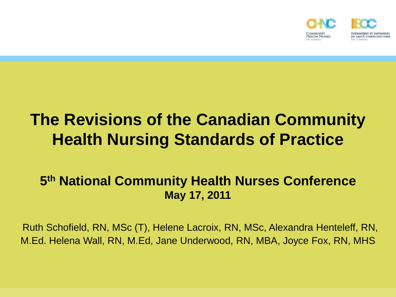

#### **The Revisions of the Canadian Community Health Nursing Standards of Practice**

#### **5 th National Community Health Nurses Conference May 17, 2011**

Ruth Schofield, RN, MSc (T), Helene Lacroix, RN, MSc, Alexandra Henteleff, RN, M.Ed. Helena Wall, RN, M.Ed, Jane Underwood, RN, MBA, Joyce Fox, RN, MHS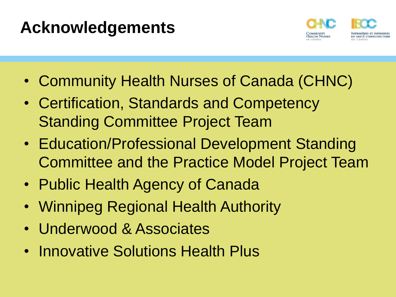### **Acknowledgements**



- Community Health Nurses of Canada (CHNC)
- Certification, Standards and Competency Standing Committee Project Team
- Education/Professional Development Standing Committee and the Practice Model Project Team
- Public Health Agency of Canada
- Winnipeg Regional Health Authority
- Underwood & Associates
- Innovative Solutions Health Plus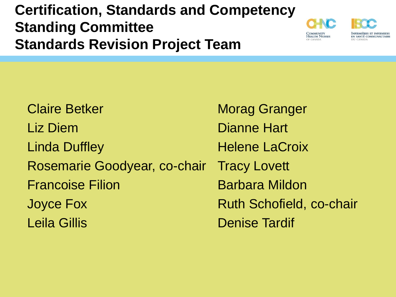#### **Certification, Standards and Competency Standing Committee Standards Revision Project Team**



INFIRMIÈRES ET INFIRMIERS EN SANTÉ COMMUNAUTAIRE DII CANADA

Claire Betker Liz Diem Linda Duffley Rosemarie Goodyear, co-chair Francoise Filion Joyce Fox Leila Gillis

Morag Granger Dianne Hart Helene LaCroix Tracy Lovett Barbara Mildon Ruth Schofield, co-chair Denise Tardif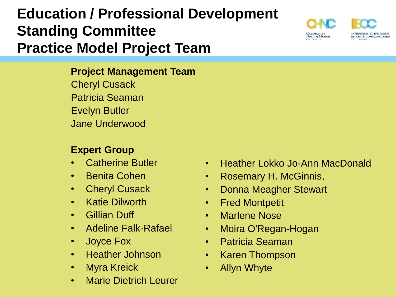#### **Education / Professional Development Standing Committee Practice Model Project Team**

#### **Project Management Team**

Cheryl Cusack Patricia Seaman Evelyn Butler Jane Underwood

#### **Expert Group**

- Catherine Butler
- Benita Cohen
- Cheryl Cusack
- Katie Dilworth
- Gillian Duff
- Adeline Falk-Rafael
- Joyce Fox
- Heather Johnson
- Myra Kreick
- Marie Dietrich Leurer

#### • Heather Lokko Jo-Ann MacDonald

- Rosemary H. McGinnis,
- Donna Meagher Stewart
- Fred Montpetit
- Marlene Nose
- Moira O'Regan-Hogan
- Patricia Seaman
- Karen Thompson
- Allyn Whyte

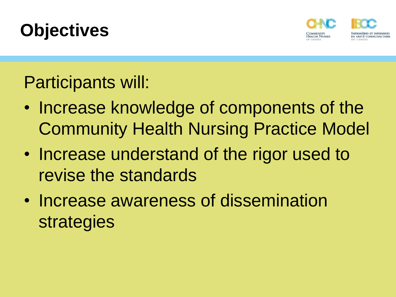



#### Participants will:

- Increase knowledge of components of the Community Health Nursing Practice Model
- Increase understand of the rigor used to revise the standards
- Increase awareness of dissemination strategies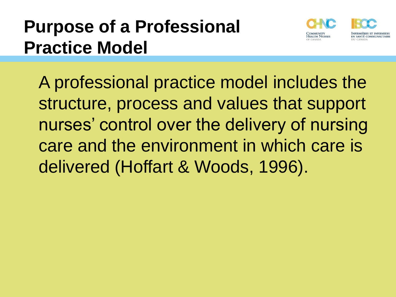## **Purpose of a Professional Practice Model**



A professional practice model includes the structure, process and values that support nurses' control over the delivery of nursing care and the environment in which care is delivered (Hoffart & Woods, 1996).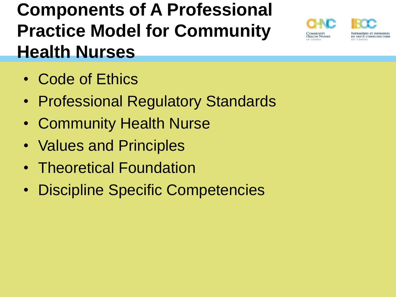## **Components of A Professional Practice Model for Community Health Nurses**





- Code of Ethics
- Professional Regulatory Standards
- Community Health Nurse
- Values and Principles
- Theoretical Foundation
- Discipline Specific Competencies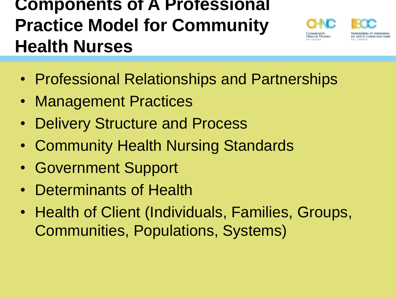#### **Components of A Professional Practice Model for Community Health Nurses**



Infirmières et infirmiers EN SANTÉ COMMUNAUTAIRE

- Professional Relationships and Partnerships
- Management Practices
- **Delivery Structure and Process**
- Community Health Nursing Standards
- Government Support
- Determinants of Health
- Health of Client (Individuals, Families, Groups, Communities, Populations, Systems)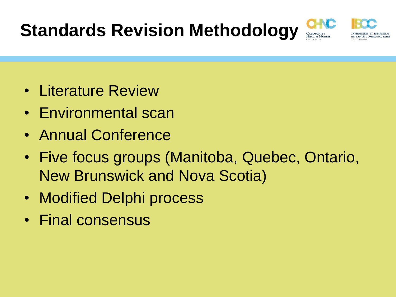## **Standards Revision Methodology**





- Literature Review
- Environmental scan
- Annual Conference
- Five focus groups (Manitoba, Quebec, Ontario, New Brunswick and Nova Scotia)
- Modified Delphi process
- Final consensus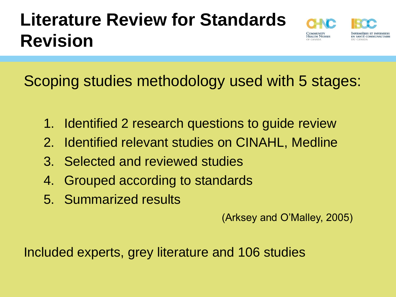## **Literature Review for Standards Revision**



Scoping studies methodology used with 5 stages:

- 1. Identified 2 research questions to guide review
- 2. Identified relevant studies on CINAHL, Medline
- 3. Selected and reviewed studies
- 4. Grouped according to standards
- 5. Summarized results

(Arksey and O'Malley, 2005)

Included experts, grey literature and 106 studies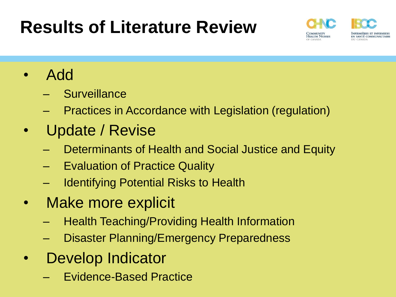## **Results of Literature Review**



- Add
	- **Surveillance**
	- Practices in Accordance with Legislation (regulation)
- Update / Revise
	- Determinants of Health and Social Justice and Equity
	- **Evaluation of Practice Quality**
	- **Identifying Potential Risks to Health**
- Make more explicit
	- Health Teaching/Providing Health Information
	- Disaster Planning/Emergency Preparedness
- Develop Indicator
	- Evidence-Based Practice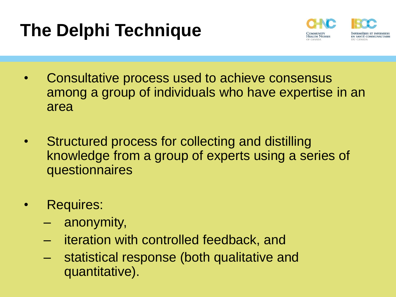## **The Delphi Technique**



- Consultative process used to achieve consensus among a group of individuals who have expertise in an area
- Structured process for collecting and distilling knowledge from a group of experts using a series of questionnaires
- Requires:
	- anonymity,
	- iteration with controlled feedback, and
	- statistical response (both qualitative and quantitative).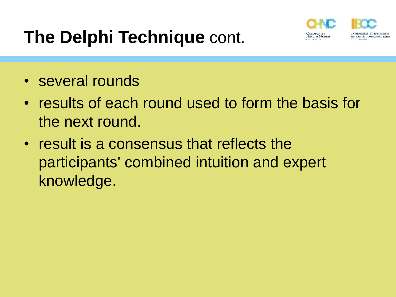## **The Delphi Technique** cont.



- several rounds
- results of each round used to form the basis for the next round.
- result is a consensus that reflects the participants' combined intuition and expert knowledge.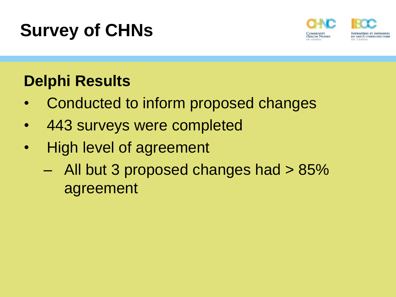## **Survey of CHNs**



#### **Delphi Results**

- Conducted to inform proposed changes
- 443 surveys were completed
- High level of agreement
	- All but 3 proposed changes had > 85% agreement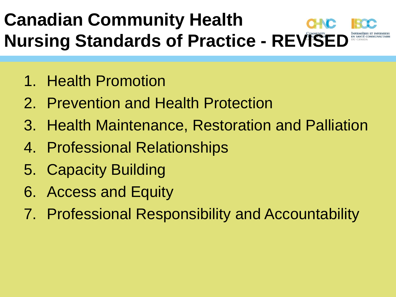## **Canadian Community Health Nursing Standards of Practice - REVISED**

- 1. Health Promotion
- 2. Prevention and Health Protection
- 3. Health Maintenance, Restoration and Palliation
- 4. Professional Relationships
- 5. Capacity Building
- 6. Access and Equity
- 7. Professional Responsibility and Accountability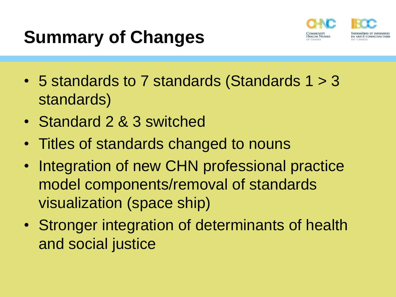## **Summary of Changes**



- 5 standards to 7 standards (Standards 1 > 3 standards)
- Standard 2 & 3 switched
- Titles of standards changed to nouns
- Integration of new CHN professional practice model components/removal of standards visualization (space ship)
- Stronger integration of determinants of health and social justice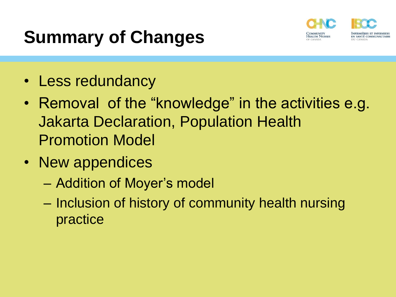## **Summary of Changes**



- Less redundancy
- Removal of the "knowledge" in the activities e.g. Jakarta Declaration, Population Health Promotion Model
- New appendices
	- Addition of Moyer's model
	- Inclusion of history of community health nursing practice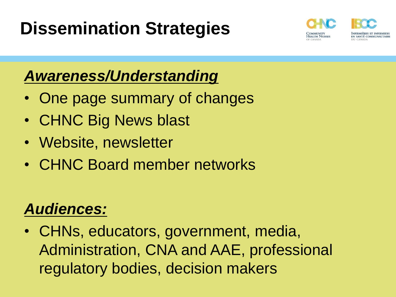## **Dissemination Strategies**



#### *Awareness/Understanding*

- One page summary of changes
- CHNC Big News blast
- Website, newsletter
- CHNC Board member networks

#### *Audiences:*

• CHNs, educators, government, media, Administration, CNA and AAE, professional regulatory bodies, decision makers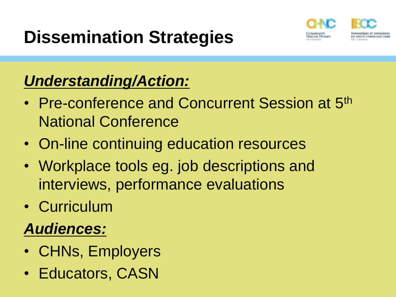## **Dissemination Strategies**



#### *Understanding/Action:*

- Pre-conference and Concurrent Session at 5<sup>th</sup> National Conference
- On-line continuing education resources
- Workplace tools eg. job descriptions and interviews, performance evaluations
- Curriculum

#### *Audiences:*

- CHNs, Employers
- Educators, CASN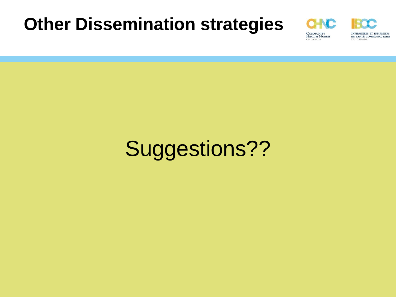#### **Other Dissemination strategies**



INFIRMIÈRES ET INFIRMIERS EN SANTÉ COMMUNAUTAIRE DU CANADA

# Suggestions??